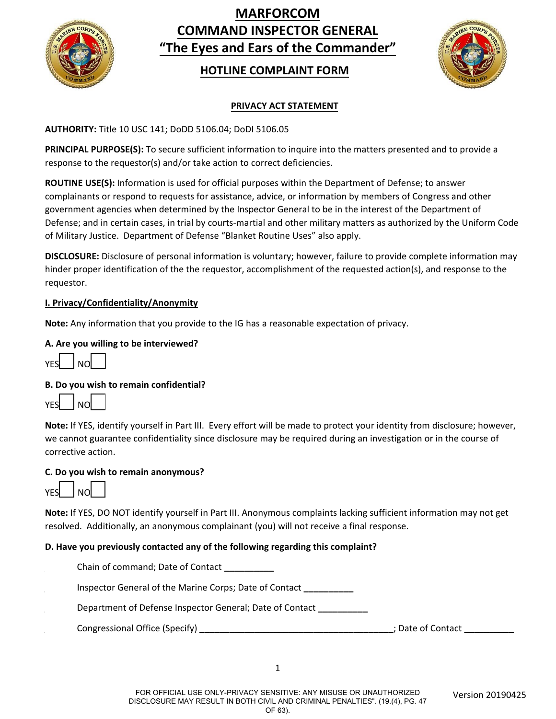